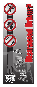